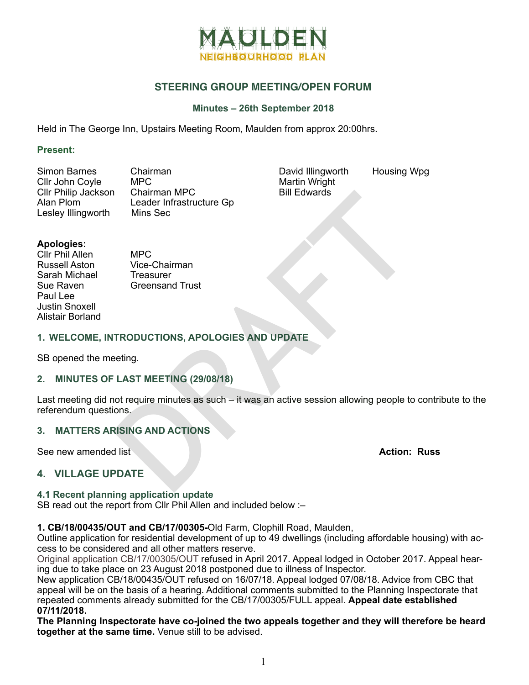

# **STEERING GROUP MEETING/OPEN FORUM**

### **Minutes – 26th September 2018**

Held in The George Inn, Upstairs Meeting Room, Maulden from approx 20:00hrs.

#### **Present:**

Simon Barnes Chairman<br>Cllr John Coyle MPC Cllr John Coyle MPC<br>Cllr Philip Jackson Chairman MPC Cllr Philip Jackson<br>Alan Plom Leader Infrastructure Gp Lesley Illingworth Mins Sec

David Illingworth Housing Wpg Martin Wright Bill Edwards

### **Apologies:**

Cllr Phil Allen MPC<br>Russell Aston Vice-Sarah Michael Treasurer Paul Lee Justin Snoxell Alistair Borland

Vice-Chairman Sue Raven Greensand Trust

### **1. WELCOME, INTRODUCTIONS, APOLOGIES AND UPDATE**

SB opened the meeting.

# **2. MINUTES OF LAST MEETING (29/08/18)**

Chairman MPC<br>
Leader Infrastructure Gp<br>
Mins Sec<br>
Wec-Chairman<br>
Treasurer<br>
Greensand Trust<br>
TRODUCTIONS, APOLOGIES AND UPDATE<br>
eeting.<br>
LAST MEETING (29/08/18)<br>
olons.<br>
SISING AND ACTIONS<br>
Alist<br>
Action:<br>
Action:<br>
Action: Last meeting did not require minutes as such – it was an active session allowing people to contribute to the referendum questions.

# **3. MATTERS ARISING AND ACTIONS**

See new amended list **Action: Russ**

# **4. VILLAGE UPDATE**

#### **4.1 Recent planning application update**

SB read out the report from Cllr Phil Allen and included below :–

#### **1. CB/18/00435/OUT and CB/17/00305-**Old Farm, Clophill Road, Maulden,

Outline application for residential development of up to 49 dwellings (including affordable housing) with access to be considered and all other matters reserve.

Original application CB/17/00305/OUT refused in April 2017. Appeal lodged in October 2017. Appeal hearing due to take place on 23 August 2018 postponed due to illness of Inspector.

New application CB/18/00435/OUT refused on 16/07/18. Appeal lodged 07/08/18. Advice from CBC that appeal will be on the basis of a hearing. Additional comments submitted to the Planning Inspectorate that repeated comments already submitted for the CB/17/00305/FULL appeal. **Appeal date established 07/11/2018.** 

**The Planning Inspectorate have co-joined the two appeals together and they will therefore be heard together at the same time.** Venue still to be advised.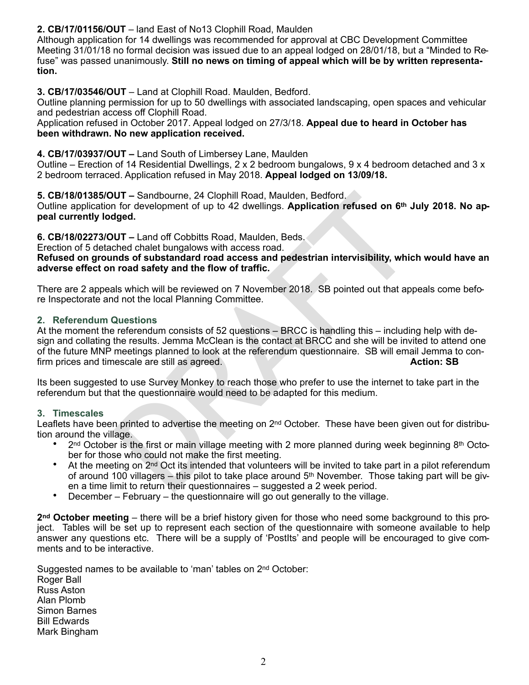**2. CB/17/01156/OUT** – land East of No13 Clophill Road, Maulden

Although application for 14 dwellings was recommended for approval at CBC Development Committee Meeting 31/01/18 no formal decision was issued due to an appeal lodged on 28/01/18, but a "Minded to Refuse" was passed unanimously. **Still no news on timing of appeal which will be by written representation.** 

**3. CB/17/03546/OUT** – Land at Clophill Road. Maulden, Bedford.

Outline planning permission for up to 50 dwellings with associated landscaping, open spaces and vehicular and pedestrian access off Clophill Road.

Application refused in October 2017. Appeal lodged on 27/3/18. **Appeal due to heard in October has been withdrawn. No new application received.** 

# **4. CB/17/03937/OUT –** Land South of Limbersey Lane, Maulden

Outline – Erection of 14 Residential Dwellings,  $2 \times 2$  bedroom bungalows,  $9 \times 4$  bedroom detached and  $3 \times$ 2 bedroom terraced. Application refused in May 2018. **Appeal lodged on 13/09/18.** 

**5. CB/18/01385/OUT –** Sandbourne, 24 Clophill Road, Maulden, Bedford. Outline application for development of up to 42 dwellings. **Application refused on 6th July 2018. No ap peal currently lodged.** 

**6. CB/18/02273/OUT –** Land off Cobbitts Road, Maulden, Beds.

Erection of 5 detached chalet bungalows with access road.

**Refused on grounds of substandard road access and pedestrian intervisibility, which would have an adverse effect on road safety and the flow of traffic.** 

There are 2 appeals which will be reviewed on 7 November 2018. SB pointed out that appeals come before Inspectorate and not the local Planning Committee.

### **2. Referendum Questions**

**UIT** – Sandbourne, 24 Clophill Road, Maulden, Bedford.<br>
for development of up to 42 dwellings. Application refused on 6<sup>th</sup> J<br> **OF development of up to 42 dwellings. Application refused on 6<sup>th</sup> J<br>
diged.<br>
UIT – Land off** At the moment the referendum consists of 52 questions – BRCC is handling this – including help with design and collating the results. Jemma McClean is the contact at BRCC and she will be invited to attend one of the future MNP meetings planned to look at the referendum questionnaire. SB will email Jemma to con firm prices and timescale are still as agreed. **Action: SB**

Its been suggested to use Survey Monkey to reach those who prefer to use the internet to take part in the referendum but that the questionnaire would need to be adapted for this medium.

# **3. Timescales**

Leaflets have been printed to advertise the meeting on 2<sup>nd</sup> October. These have been given out for distribution around the village.

- $2<sup>nd</sup> October is the first or main village meeting with 2 more planned during week beginning  $8<sup>th</sup>$  October$ ber for those who could not make the first meeting.
- At the meeting on 2<sup>nd</sup> Oct its intended that volunteers will be invited to take part in a pilot referendum of around 100 villagers – this pilot to take place around  $5<sup>th</sup>$  November. Those taking part will be given a time limit to return their questionnaires – suggested a 2 week period.
- December February the questionnaire will go out generally to the village.

**2nd October meeting** – there will be a brief history given for those who need some background to this project. Tables will be set up to represent each section of the questionnaire with someone available to help answer any questions etc. There will be a supply of 'PostIts' and people will be encouraged to give com ments and to be interactive.

Suggested names to be available to 'man' tables on 2<sup>nd</sup> October: Roger Ball Russ Aston Alan Plomb Simon Barnes Bill Edwards Mark Bingham